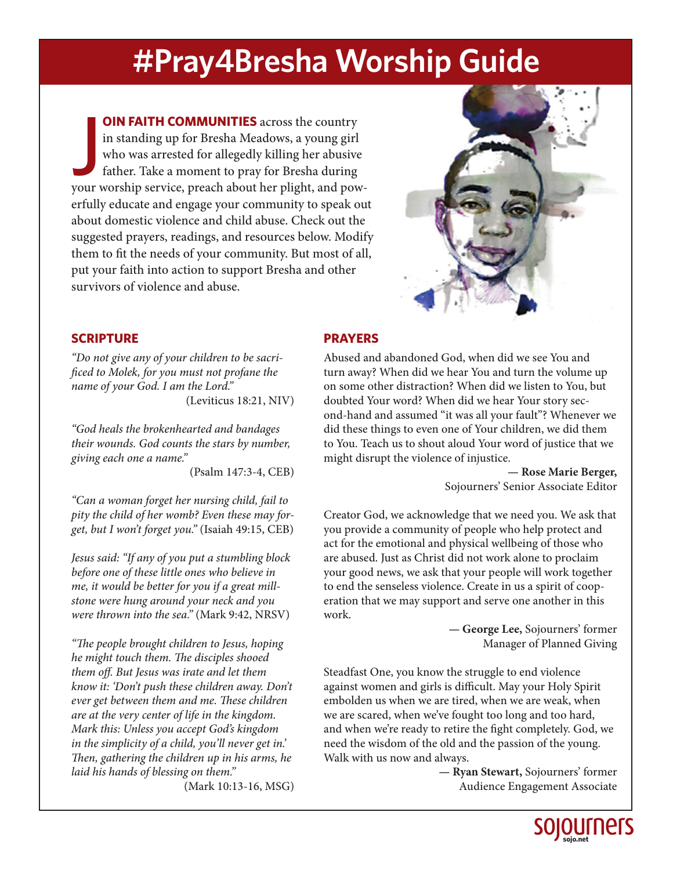# **#Pray4Bresha Worship Guide**

**OIN FAITH COMMUNITIES** across the country<br>in standing up for Bresha Meadows, a young girl<br>who was arrested for allegedly killing her abusive<br>father. Take a moment to pray for Bresha during<br>your worship service, preach abo **OIN FAITH COMMUNITIES** across the country in standing up for Bresha Meadows, a young girl who was arrested for allegedly killing her abusive father. Take a moment to pray for Bresha during erfully educate and engage your community to speak out about domestic violence and child abuse. Check out the suggested prayers, readings, and resources below. Modify them to fit the needs of your community. But most of all, put your faith into action to support Bresha and other survivors of violence and abuse.



### **SCRIPTURE**

*"Do not give any of your children to be sacrificed to Molek, for you must not profane the name of your God. I am the Lord."*  (Leviticus 18:21, NIV)

*"God heals the brokenhearted and bandages their wounds. God counts the stars by number, giving each one a name."*

(Psalm 147:3-4, CEB)

*"Can a woman forget her nursing child, fail to pity the child of her womb? Even these may forget, but I won't forget you."* (Isaiah 49:15, CEB)

*Jesus said: "If any of you put a stumbling block before one of these little ones who believe in me, it would be better for you if a great millstone were hung around your neck and you were thrown into the sea."* (Mark 9:42, NRSV)

*"The people brought children to Jesus, hoping he might touch them. The disciples shooed them off. But Jesus was irate and let them know it: 'Don't push these children away. Don't ever get between them and me. These children are at the very center of life in the kingdom. Mark this: Unless you accept God's kingdom in the simplicity of a child, you'll never get in.' Then, gathering the children up in his arms, he laid his hands of blessing on them."* 

(Mark 10:13-16, MSG)

### **PRAYERS**

Abused and abandoned God, when did we see You and turn away? When did we hear You and turn the volume up on some other distraction? When did we listen to You, but doubted Your word? When did we hear Your story second-hand and assumed "it was all your fault"? Whenever we did these things to even one of Your children, we did them to You. Teach us to shout aloud Your word of justice that we might disrupt the violence of injustice.

> **— Rose Marie Berger,** Sojourners' Senior Associate Editor

Creator God, we acknowledge that we need you. We ask that you provide a community of people who help protect and act for the emotional and physical wellbeing of those who are abused. Just as Christ did not work alone to proclaim your good news, we ask that your people will work together to end the senseless violence. Create in us a spirit of cooperation that we may support and serve one another in this work.

> **— George Lee,** Sojourners' former Manager of Planned Giving

Steadfast One, you know the struggle to end violence against women and girls is difficult. May your Holy Spirit embolden us when we are tired, when we are weak, when we are scared, when we've fought too long and too hard, and when we're ready to retire the fight completely. God, we need the wisdom of the old and the passion of the young. Walk with us now and always.

> **— Ryan Stewart,** Sojourners' former Audience Engagement Associate